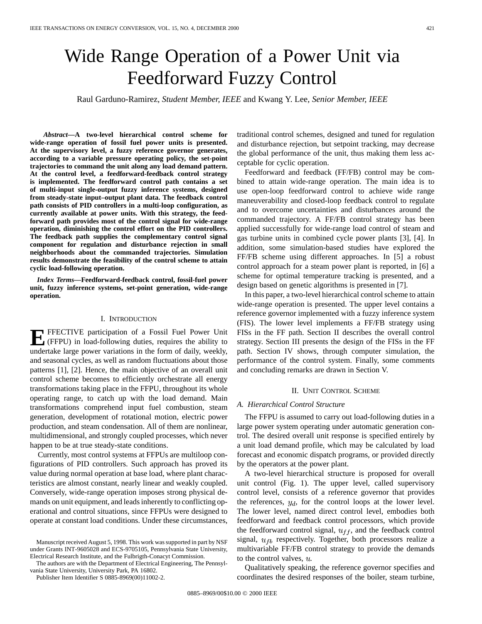# Wide Range Operation of a Power Unit via Feedforward Fuzzy Control

Raul Garduno-Ramirez*, Student Member, IEEE* and Kwang Y. Lee*, Senior Member, IEEE*

*Abstract—***A two-level hierarchical control scheme for wide-range operation of fossil fuel power units is presented. At the supervisory level, a fuzzy reference governor generates, according to a variable pressure operating policy, the set-point trajectories to command the unit along any load demand pattern. At the control level, a feedforward-feedback control strategy is implemented. The feedforward control path contains a set of multi-input single-output fuzzy inference systems, designed from steady-state input–output plant data. The feedback control path consists of PID controllers in a multi-loop configuration, as currently available at power units. With this strategy, the feedforward path provides most of the control signal for wide-range operation, diminishing the control effort on the PID controllers. The feedback path supplies the complementary control signal component for regulation and disturbance rejection in small neighborhoods about the commanded trajectories. Simulation results demonstrate the feasibility of the control scheme to attain cyclic load-following operation.**

*Index Terms—***Feedforward-feedback control, fossil-fuel power unit, fuzzy inference systems, set-point generation, wide-range operation.**

#### I. INTRODUCTION

**E**FFECTIVE participation of a Fossil Fuel Power Unit<br>
(FFPU) in load-following duties, requires the ability to undertake large power variations in the form of daily, weekly, and seasonal cycles, as well as random fluctuations about those patterns [1], [2]. Hence, the main objective of an overall unit control scheme becomes to efficiently orchestrate all energy transformations taking place in the FFPU, throughout its whole operating range, to catch up with the load demand. Main transformations comprehend input fuel combustion, steam generation, development of rotational motion, electric power production, and steam condensation. All of them are nonlinear, multidimensional, and strongly coupled processes, which never happen to be at true steady-state conditions.

Currently, most control systems at FFPUs are multiloop configurations of PID controllers. Such approach has proved its value during normal operation at base load, where plant characteristics are almost constant, nearly linear and weakly coupled. Conversely, wide-range operation imposes strong physical demands on unit equipment, and leads inherently to conflicting operational and control situations, since FFPUs were designed to operate at constant load conditions. Under these circumstances,

The authors are with the Department of Electrical Engineering, The Pennsylvania State University, University Park, PA 16802.

Publisher Item Identifier S 0885-8969(00)11002-2.

traditional control schemes, designed and tuned for regulation and disturbance rejection, but setpoint tracking, may decrease the global performance of the unit, thus making them less acceptable for cyclic operation.

Feedforward and feedback (FF/FB) control may be combined to attain wide-range operation. The main idea is to use open-loop feedforward control to achieve wide range maneuverability and closed-loop feedback control to regulate and to overcome uncertainties and disturbances around the commanded trajectory. A FF/FB control strategy has been applied successfully for wide-range load control of steam and gas turbine units in combined cycle power plants [3], [4]. In addition, some simulation-based studies have explored the FF/FB scheme using different approaches. In [5] a robust control approach for a steam power plant is reported, in [6] a scheme for optimal temperature tracking is presented, and a design based on genetic algorithms is presented in [7].

In this paper, a two-level hierarchical control scheme to attain wide-range operation is presented. The upper level contains a reference governor implemented with a fuzzy inference system (FIS). The lower level implements a FF/FB strategy using FISs in the FF path. Section II describes the overall control strategy. Section III presents the design of the FISs in the FF path. Section IV shows, through computer simulation, the performance of the control system. Finally, some comments and concluding remarks are drawn in Section V.

# II. UNIT CONTROL SCHEME

# *A. Hierarchical Control Structure*

The FFPU is assumed to carry out load-following duties in a large power system operating under automatic generation control. The desired overall unit response is specified entirely by a unit load demand profile, which may be calculated by load forecast and economic dispatch programs, or provided directly by the operators at the power plant.

A two-level hierarchical structure is proposed for overall unit control (Fig. 1). The upper level, called supervisory control level, consists of a reference governor that provides the references,  $y_d$ , for the control loops at the lower level. The lower level, named direct control level, embodies both feedforward and feedback control processors, which provide the feedforward control signal,  $u_{ff}$ , and the feedback control signal,  $u_{fb}$  respectively. Together, both processors realize a multivariable FF/FB control strategy to provide the demands to the control valves,  $u$ .

Qualitatively speaking, the reference governor specifies and coordinates the desired responses of the boiler, steam turbine,

Manuscript received August 5, 1998. This work was supported in part by NSF under Grants INT-9605028 and ECS-9705105, Pennsylvania State University, Electrical Research Institute, and the Fulbrigth-Conacyt Commission.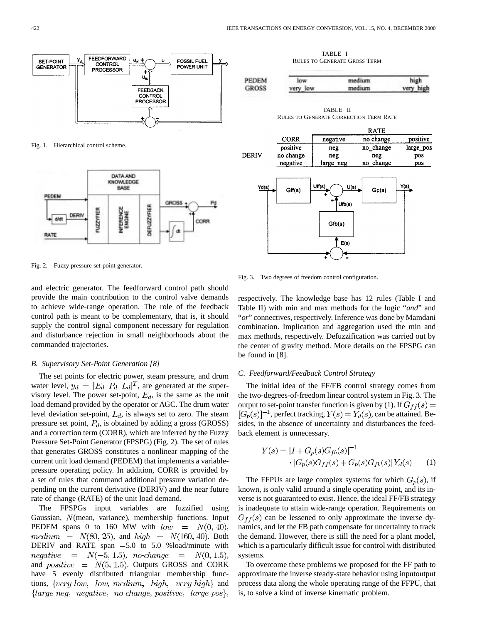

Fig. 1. Hierarchical control scheme.



Fig. 2. Fuzzy pressure set-point generator.

and electric generator. The feedforward control path should provide the main contribution to the control valve demands to achieve wide-range operation. The role of the feedback control path is meant to be complementary, that is, it should supply the control signal component necessary for regulation and disturbance rejection in small neighborhoods about the commanded trajectories.

# *B. Supervisory Set-Point Generation [8]*

The set points for electric power, steam pressure, and drum water level,  $y_d = [E_d \ P_d \ L_d]^T$ , are generated at the supervisory level. The power set-point,  $E_d$ , is the same as the unit load demand provided by the operator or AGC. The drum water level deviation set-point,  $L_d$ , is always set to zero. The steam pressure set point,  $P_d$ , is obtained by adding a gross (GROSS) and a correction term (CORR), which are inferred by the Fuzzy Pressure Set-Point Generator (FPSPG) (Fig. 2). The set of rules that generates GROSS constitutes a nonlinear mapping of the current unit load demand (PEDEM) that implements a variablepressure operating policy. In addition, CORR is provided by a set of rules that command additional pressure variation depending on the current derivative (DERIV) and the near future rate of change (RATE) of the unit load demand.

The FPSPGs input variables are fuzzified using Gaussian,  $N$ (mean, variance), membership functions. Input PEDEM spans 0 to 160 MW with  $low = N(0, 40)$ ,  $medium = N(80, 25)$ , and  $high = N(160, 40)$ . Both DERIV and RATE span  $-5.0$  to 5.0 %load/minute with  $negative = N(-5, 1.5), no-change = N(0, 1.5),$ and *positive* =  $N(5, 1.5)$ . Outputs GROSS and CORK have 5 evenly distributed triangular membership functions,  $\{very\ low,\ low,\ medium,\ high,\ very\ high\}$  and  $\{large\space neg, negative, no-change, positive, large-pos\},\$ 

TABLE I RULES TO GENERATE GROSS TERM



TABLE II RULES TO GENERATE CORRECTION TERM RATE



Fig. 3. Two degrees of freedom control configuration.

respectively. The knowledge base has 12 rules (Table I and Table II) with min and max methods for the logic "*and*" and "*or*" connectives, respectively. Inference was done by Mamdani combination. Implication and aggregation used the min and max methods, respectively. Defuzzification was carried out by the center of gravity method. More details on the FPSPG can be found in [8].

### *C. Feedforward/Feedback Control Strategy*

The initial idea of the FF/FB control strategy comes from the two-degrees-of-freedom linear control system in Fig. 3. The output to set-point transfer function is given by (1). If  $G_{ff}(s)$  =  $[G_p(s)]^{-1}$ , perfect tracking,  $Y(s) = Y_d(s)$ , can be attained. Besides, in the absence of uncertainty and disturbances the feedback element is unnecessary.

$$
Y(s) = [I + G_p(s)G_{fb}(s)]^{-1}
$$
  
 
$$
\cdot [G_p(s)G_{ff}(s) + G_p(s)G_{fb}(s)]Y_d(s)
$$
 (1)

The FFPUs are large complex systems for which  $G_p(s)$ , if known, is only valid around a single operating point, and its inverse is not guaranteed to exist. Hence, the ideal FF/FB strategy is inadequate to attain wide-range operation. Requirements on  $G_{ff}(s)$  can be lessened to only approximate the inverse dynamics, and let the FB path compensate for uncertainty to track the demand. However, there is still the need for a plant model, which is a particularly difficult issue for control with distributed systems.

To overcome these problems we proposed for the FF path to approximate the inverse steady-state behavior using inputoutput process data along the whole operating range of the FFPU, that is, to solve a kind of inverse kinematic problem.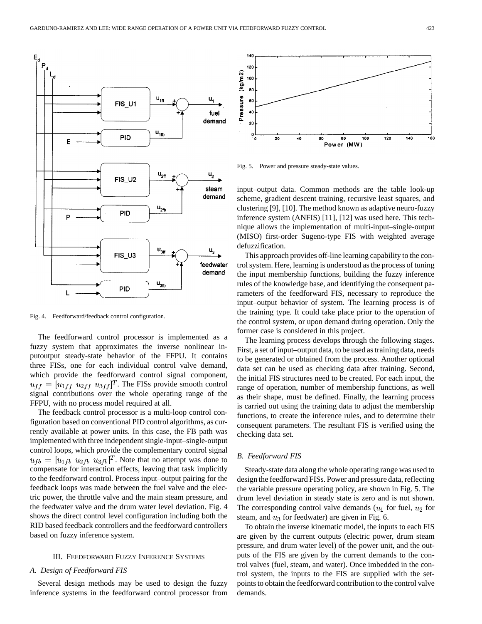

Fig. 4. Feedforward/feedback control configuration.

The feedforward control processor is implemented as a fuzzy system that approximates the inverse nonlinear inputoutput steady-state behavior of the FFPU. It contains three FISs, one for each individual control valve demand, which provide the feedforward control signal component,  $u_{ff} = [u_{1ff} \ u_{2ff} \ u_{3ff}]^T$ . The FISs provide smooth control signal contributions over the whole operating range of the FFPU, with no process model required at all.

The feedback control processor is a multi-loop control configuration based on conventional PID control algorithms, as currently available at power units. In this case, the FB path was implemented with three independent single-input–single-output control loops, which provide the complementary control signal  $u_{fb} = [u_{1fb} \ u_{2fb} \ u_{3fb}]^T$ . Note that no attempt was done to compensate for interaction effects, leaving that task implicitly to the feedforward control. Process input–output pairing for the feedback loops was made between the fuel valve and the electric power, the throttle valve and the main steam pressure, and the feedwater valve and the drum water level deviation. Fig. 4 shows the direct control level configuration including both the RID based feedback controllers and the feedforward controllers based on fuzzy inference system.

#### III. FEEDFORWARD FUZZY INFERENCE SYSTEMS

# *A. Design of Feedforward FIS*

Several design methods may be used to design the fuzzy inference systems in the feedforward control processor from



Fig. 5. Power and pressure steady-state values.

input–output data. Common methods are the table look-up scheme, gradient descent training, recursive least squares, and clustering [9], [10]. The method known as adaptive neuro-fuzzy inference system (ANFIS) [11], [12] was used here. This technique allows the implementation of multi-input–single-output (MISO) first-order Sugeno-type FIS with weighted average defuzzification.

This approach provides off-line learning capability to the control system. Here, learning is understood as the process of tuning the input membership functions, building the fuzzy inference rules of the knowledge base, and identifying the consequent parameters of the feedforward FIS, necessary to reproduce the input–output behavior of system. The learning process is of the training type. It could take place prior to the operation of the control system, or upon demand during operation. Only the former case is considered in this project.

The learning process develops through the following stages. First, a set of input–output data, to be used as training data, needs to be generated or obtained from the process. Another optional data set can be used as checking data after training. Second, the initial FIS structures need to be created. For each input, the range of operation, number of membership functions, as well as their shape, must be defined. Finally, the learning process is carried out using the training data to adjust the membership functions, to create the inference rules, and to determine their consequent parameters. The resultant FIS is verified using the checking data set.

#### *B. Feedforward FIS*

Steady-state data along the whole operating range was used to design the feedforward FISs. Power and pressure data, reflecting the variable pressure operating policy, are shown in Fig. 5. The drum level deviation in steady state is zero and is not shown. The corresponding control valve demands  $(u_1)$  for fuel,  $u_2$  for steam, and  $u_3$  for feedwater) are given in Fig. 6.

To obtain the inverse kinematic model, the inputs to each FIS are given by the current outputs (electric power, drum steam pressure, and drum water level) of the power unit, and the outputs of the FIS are given by the current demands to the control valves (fuel, steam, and water). Once imbedded in the control system, the inputs to the FIS are supplied with the setpoints to obtain the feedforward contribution to the control valve demands.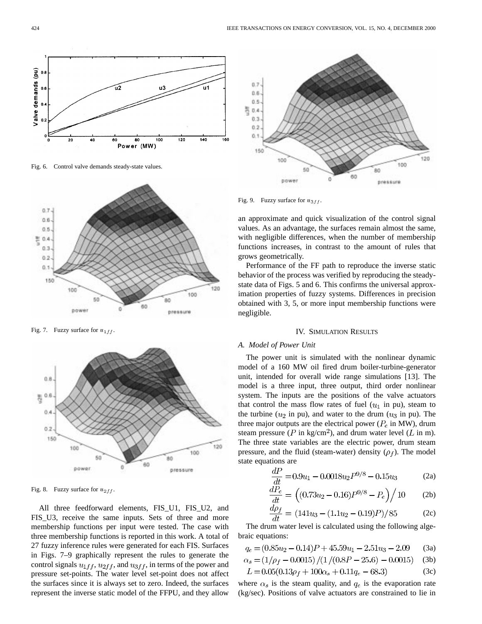

Fig. 6. Control valve demands steady-state values.



Fig. 7. Fuzzy surface for  $u_{1ff}$ .



Fig. 8. Fuzzy surface for  $u_{2ff}$ .

All three feedforward elements, FIS\_U1, FIS\_U2, and FIS U3, receive the same inputs. Sets of three and more membership functions per input were tested. The case with three membership functions is reported in this work. A total of 27 fuzzy inference rules were generated for each FIS. Surfaces in Figs. 7–9 graphically represent the rules to generate the control signals  $u_{1ff}$ ,  $u_{2ff}$ , and  $u_{3ff}$ , in terms of the power and pressure set-points. The water level set-point does not affect the surfaces since it is always set to zero. Indeed, the surfaces represent the inverse static model of the FFPU, and they allow



Fig. 9. Fuzzy surface for  $u_{3}$ f.

an approximate and quick visualization of the control signal values. As an advantage, the surfaces remain almost the same, with negligible differences, when the number of membership functions increases, in contrast to the amount of rules that grows geometrically.

Performance of the FF path to reproduce the inverse static behavior of the process was verified by reproducing the steadystate data of Figs. 5 and 6. This confirms the universal approximation properties of fuzzy systems. Differences in precision obtained with 3, 5, or more input membership functions were negligible.

#### IV. SIMULATION RESULTS

#### *A. Model of Power Unit*

The power unit is simulated with the nonlinear dynamic model of a 160 MW oil fired drum boiler-turbine-generator unit, intended for overall wide range simulations [13]. The model is a three input, three output, third order nonlinear system. The inputs are the positions of the valve actuators that control the mass flow rates of fuel  $(u_1$  in pu), steam to the turbine  $(u_2$  in pu), and water to the drum  $(u_3$  in pu). The three major outputs are the electrical power  $(P_e$  in MW), drum steam pressure ( $P$  in kg/cm<sup>2</sup>), and drum water level ( $L$  in m). The three state variables are the electric power, drum steam pressure, and the fluid (steam-water) density  $(\rho_f)$ . The model state equations are

$$
\frac{dP}{dt} = 0.9u_1 - 0.0018u_2 P^{9/8} - 0.15u_3 \tag{2a}
$$

$$
\frac{dP_e}{dt} = \left( (0.73u_2 - 0.16)P^{9/8} - P_e \right) / 10 \tag{2b}
$$

$$
\frac{d\rho_f}{dt} = (141u_3 - (1.1u_2 - 0.19)P)/85\tag{2c}
$$

The drum water level is calculated using the following algebraic equations:

$$
q_e = (0.85u_2 - 0.14)P + 45.59u_1 - 2.51u_3 - 2.09
$$
 (3a)

$$
\alpha_s = (1/\rho_f - 0.0015) / (1/(0.8P - 25.6) - 0.0015) \quad (3b)
$$

$$
L = 0.05(0.13\rho_f + 100\alpha_s + 0.11q_e - 68.3)
$$
 (3c)

where  $\alpha_s$  is the steam quality, and  $q_e$  is the evaporation rate (kg/sec). Positions of valve actuators are constrained to lie in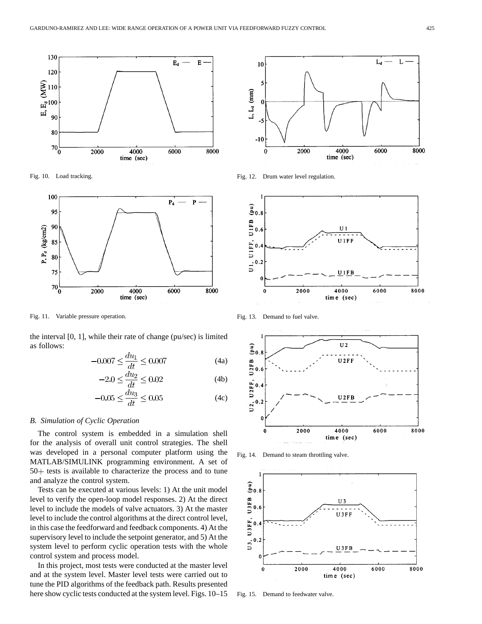

Fig. 10. Load tracking.



Fig. 11. Variable pressure operation.

the interval [0, 1], while their rate of change (pu/sec) is limited as follows:

$$
-0.007 \le \frac{du_1}{dt} \le 0.007\tag{4a}
$$

$$
-2.0 \le \frac{du_2}{dt} \le 0.02\tag{4b}
$$

$$
-0.05 \le \frac{du_3}{dt} \le 0.05\tag{4c}
$$

#### *B. Simulation of Cyclic Operation*

The control system is embedded in a simulation shell for the analysis of overall unit control strategies. The shell was developed in a personal computer platform using the MATLAB/SIMULINK programming environment. A set of  $50 +$  tests is available to characterize the process and to tune and analyze the control system.

Tests can be executed at various levels: 1) At the unit model level to verify the open-loop model responses. 2) At the direct level to include the models of valve actuators. 3) At the master level to include the control algorithms at the direct control level, in this case the feedforward and feedback components. 4) At the supervisory level to include the setpoint generator, and 5) At the system level to perform cyclic operation tests with the whole control system and process model.

In this project, most tests were conducted at the master level and at the system level. Master level tests were carried out to tune the PID algorithms of the feedback path. Results presented here show cyclic tests conducted at the system level. Figs.  $10-15$ 



Fig. 12. Drum water level regulation.



Fig. 13. Demand to fuel valve.



Fig. 14. Demand to steam throttling valve.



Fig. 15. Demand to feedwater valve.